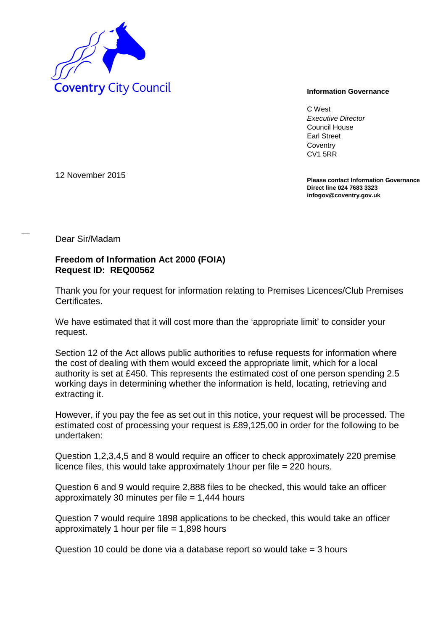

C West *Executive Director* Council House Earl Street **Coventry** CV1 5RR

**Please contact Information Governance Direct line 024 7683 3323 infogov@coventry.gov.uk** 

12 November 2015

Dear Sir/Madam

## **Freedom of Information Act 2000 (FOIA) Request ID: REQ00562**

Thank you for your request for information relating to Premises Licences/Club Premises Certificates.

We have estimated that it will cost more than the 'appropriate limit' to consider your request.

Section 12 of the Act allows public authorities to refuse requests for information where the cost of dealing with them would exceed the appropriate limit, which for a local authority is set at £450. This represents the estimated cost of one person spending 2.5 working days in determining whether the information is held, locating, retrieving and extracting it.

However, if you pay the fee as set out in this notice, your request will be processed. The estimated cost of processing your request is £89,125.00 in order for the following to be undertaken:

Question 1,2,3,4,5 and 8 would require an officer to check approximately 220 premise licence files, this would take approximately 1hour per file = 220 hours.

Question 6 and 9 would require 2,888 files to be checked, this would take an officer approximately 30 minutes per file  $= 1,444$  hours

Question 7 would require 1898 applications to be checked, this would take an officer approximately 1 hour per file  $= 1,898$  hours

Question 10 could be done via a database report so would take = 3 hours